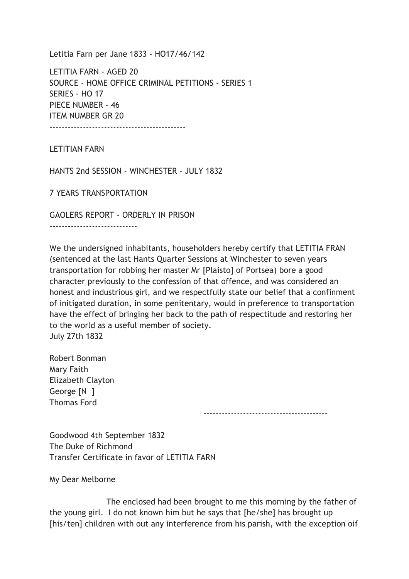Letitia Farn per Jane 1833 - HO17/46/142

LETITIA FARN - AGED 20 SOURCE - HOME OFFICE CRIMINAL PETITIONS - SERIES 1 SERIES - HO 17 PIECE NUMBER - 46 ITEM NUMBER GR 20 ---------------------------------------------

LETITIAN FARN

HANTS 2nd SESSION - WINCHESTER - JULY 1832

7 YEARS TRANSPORTATION

GAOLERS REPORT - ORDERLY IN PRISON

-----------------------------

We the undersigned inhabitants, householders hereby certify that LETITIA FRAN (sentenced at the last Hants Quarter Sessions at Winchester to seven years transportation for robbing her master Mr [Plaisto] of Portsea) bore a good character previously to the confession of that offence, and was considered an honest and industrious girl, and we respectfully state our belief that a confinment of initigated duration, in some penitentary, would in preference to transportation have the effect of bringing her back to the path of respectitude and restoring her to the world as a useful member of society. July 27th 1832

Robert Bonman Mary Faith Elizabeth Clayton George [N ] Thomas Ford

-----------------------------------------

Goodwood 4th September 1832 The Duke of Richmond Transfer Certificate in favor of LETITIA FARN

My Dear Melborne

 The enclosed had been brought to me this morning by the father of the young girl. I do not known him but he says that [he/she] has brought up [his/ten] children with out any interference from his parish, with the exception oif